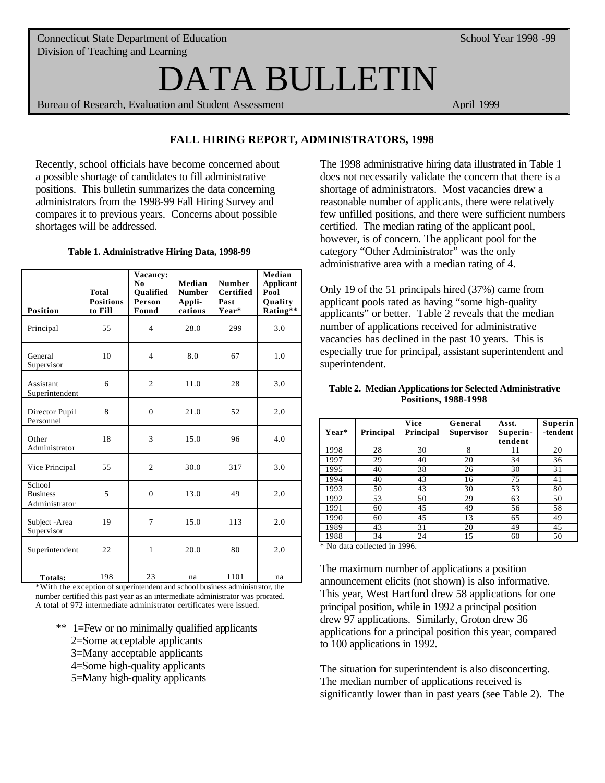# DATA BULLETIN

Bureau of Research, Evaluation and Student Assessment April 1999

## **FALL HIRING REPORT, ADMINISTRATORS, 1998**

Recently, school officials have become concerned about a possible shortage of candidates to fill administrative positions. This bulletin summarizes the data concerning administrators from the 1998-99 Fall Hiring Survey and compares it to previous years. Concerns about possible shortages will be addressed.

### **Table 1. Administrative Hiring Data, 1998-99**

| <b>Position</b>                            | <b>Total</b><br><b>Positions</b><br>to Fill | Vacancy:<br>$\bf No$<br><b>Oualified</b><br>Person<br>Found | Median<br><b>Number</b><br>Appli-<br>cations | <b>Number</b><br><b>Certified</b><br>Past<br>Year* | Median<br><b>Applicant</b><br>Pool<br>Quality<br>Rating** |
|--------------------------------------------|---------------------------------------------|-------------------------------------------------------------|----------------------------------------------|----------------------------------------------------|-----------------------------------------------------------|
| Principal                                  | 55                                          | $\overline{4}$                                              | 28.0                                         | 299                                                | 3.0                                                       |
| General<br>Supervisor                      | 10                                          | $\overline{4}$                                              | 8.0                                          | 67                                                 | 1.0                                                       |
| Assistant<br>Superintendent                | 6                                           | $\overline{2}$                                              | 11.0                                         | 28                                                 | 3.0                                                       |
| Director Pupil<br>Personnel                | 8                                           | $\mathbf{0}$                                                | 21.0                                         | 52                                                 | 2.0                                                       |
| Other<br>Administrator                     | 18                                          | 3                                                           | 15.0                                         | 96                                                 | 4.0                                                       |
| Vice Principal                             | 55                                          | $\overline{2}$                                              | 30.0                                         | 317                                                | 3.0                                                       |
| School<br><b>Business</b><br>Administrator | 5                                           | $\mathbf{0}$                                                | 13.0                                         | 49                                                 | 2.0                                                       |
| Subject - Area<br>Supervisor               | 19                                          | $\overline{7}$                                              | 15.0                                         | 113                                                | 2.0                                                       |
| Superintendent                             | 22                                          | $\mathbf{1}$                                                | 20.0                                         | 80                                                 | 2.0                                                       |
| Totals:                                    | 198                                         | 23                                                          | na                                           | 1101                                               | na                                                        |

\*With the exception of superintendent and school business administrator, the number certified this past year as an intermediate administrator was prorated. A total of 972 intermediate administrator certificates were issued.

- \*\* 1=Few or no minimally qualified applicants
	- 2=Some acceptable applicants
	- 3=Many acceptable applicants
	- 4=Some high-quality applicants
	- 5=Many high-quality applicants

The 1998 administrative hiring data illustrated in Table 1 does not necessarily validate the concern that there is a shortage of administrators. Most vacancies drew a reasonable number of applicants, there were relatively few unfilled positions, and there were sufficient numbers certified. The median rating of the applicant pool, however, is of concern. The applicant pool for the category "Other Administrator" was the only administrative area with a median rating of 4.

Only 19 of the 51 principals hired (37%) came from applicant pools rated as having "some high-quality applicants" or better. Table 2 reveals that the median number of applications received for administrative vacancies has declined in the past 10 years. This is especially true for principal, assistant superintendent and superintendent.

#### **Table 2. Median Applications for Selected Administrative Positions, 1988-1998**

| Year* | Principal | Vice<br>Principal | General<br><b>Supervisor</b> | Asst.<br>Superin-<br>tendent | Superin<br>-tendent |
|-------|-----------|-------------------|------------------------------|------------------------------|---------------------|
| 1998  | 28        | 30                | 8                            | 11                           | 20                  |
| 1997  | 29        | 40                | 20                           | 34                           | 36                  |
| 1995  | 40        | 38                | 26                           | 30                           | 31                  |
| 1994  | 40        | 43                | 16                           | 75                           | 41                  |
| 1993  | 50        | 43                | 30                           | 53                           | 80                  |
| 1992  | 53        | 50                | 29                           | 63                           | 50                  |
| 1991  | 60        | 45                | 49                           | 56                           | 58                  |
| 1990  | 60        | 45                | 13                           | 65                           | 49                  |
| 1989  | 43        | 31                | 20                           | 49                           | 45                  |
| 1988  | 34        | 24                | 15                           | 60                           | 50                  |

\* No data collected in 1996.

The maximum number of applications a position announcement elicits (not shown) is also informative. This year, West Hartford drew 58 applications for one principal position, while in 1992 a principal position drew 97 applications. Similarly, Groton drew 36 applications for a principal position this year, compared to 100 applications in 1992.

The situation for superintendent is also disconcerting. The median number of applications received is significantly lower than in past years (see Table 2). The